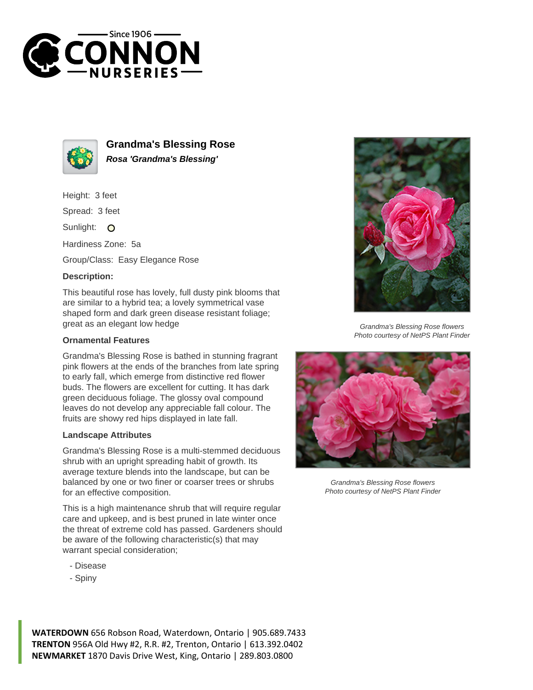



**Grandma's Blessing Rose Rosa 'Grandma's Blessing'**

Height: 3 feet

Spread: 3 feet

Sunlight: O

Hardiness Zone: 5a

Group/Class: Easy Elegance Rose

## **Description:**

This beautiful rose has lovely, full dusty pink blooms that are similar to a hybrid tea; a lovely symmetrical vase shaped form and dark green disease resistant foliage; great as an elegant low hedge

## **Ornamental Features**

Grandma's Blessing Rose is bathed in stunning fragrant pink flowers at the ends of the branches from late spring to early fall, which emerge from distinctive red flower buds. The flowers are excellent for cutting. It has dark green deciduous foliage. The glossy oval compound leaves do not develop any appreciable fall colour. The fruits are showy red hips displayed in late fall.

## **Landscape Attributes**

Grandma's Blessing Rose is a multi-stemmed deciduous shrub with an upright spreading habit of growth. Its average texture blends into the landscape, but can be balanced by one or two finer or coarser trees or shrubs for an effective composition.

This is a high maintenance shrub that will require regular care and upkeep, and is best pruned in late winter once the threat of extreme cold has passed. Gardeners should be aware of the following characteristic(s) that may warrant special consideration;

- Disease
- Spiny



Grandma's Blessing Rose flowers Photo courtesy of NetPS Plant Finder



Grandma's Blessing Rose flowers Photo courtesy of NetPS Plant Finder

**WATERDOWN** 656 Robson Road, Waterdown, Ontario | 905.689.7433 **TRENTON** 956A Old Hwy #2, R.R. #2, Trenton, Ontario | 613.392.0402 **NEWMARKET** 1870 Davis Drive West, King, Ontario | 289.803.0800